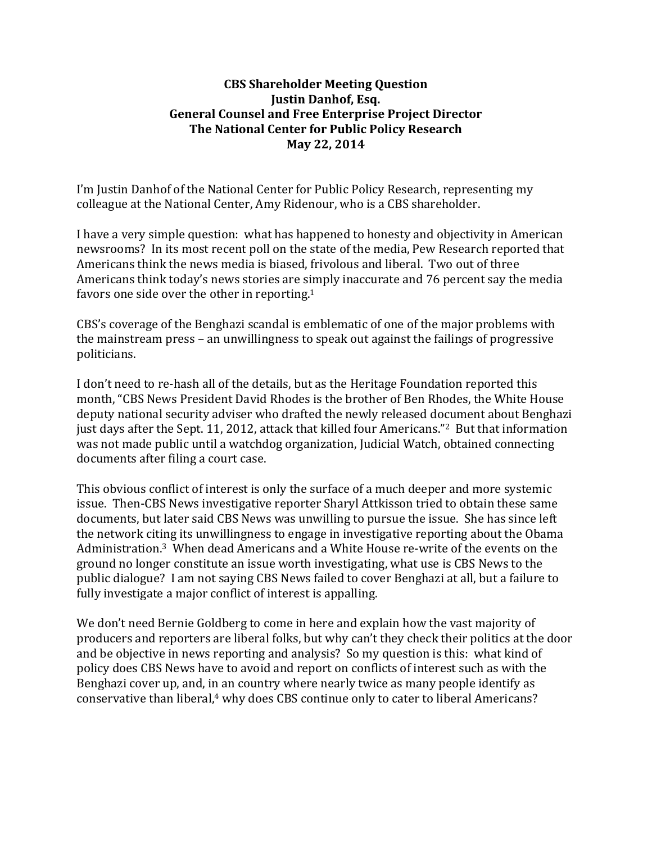## **CBS Shareholder Meeting Question Justin Danhof, Esq. General Counsel and Free Enterprise Project Director The National Center for Public Policy Research May 22, 2014**

I'm Justin Danhof of the National Center for Public Policy Research, representing my colleague at the National Center, Amy Ridenour, who is a CBS shareholder.

I have a very simple question: what has happened to honesty and objectivity in American newsrooms? In its most recent poll on the state of the media, Pew Research reported that Americans think the news media is biased, frivolous and liberal. Two out of three Americans think today's news stories are simply inaccurate and 76 percent say the media favors one side over the other in reporting.<sup>1</sup>

CBS's coverage of the Benghazi scandal is emblematic of one of the major problems with the mainstream press – an unwillingness to speak out against the failings of progressive politicians. 

I don't need to re-hash all of the details, but as the Heritage Foundation reported this month, "CBS News President David Rhodes is the brother of Ben Rhodes, the White House deputy national security adviser who drafted the newly released document about Benghazi just days after the Sept. 11, 2012, attack that killed four Americans."<sup>2</sup> But that information was not made public until a watchdog organization, Judicial Watch, obtained connecting documents after filing a court case.

This obvious conflict of interest is only the surface of a much deeper and more systemic issue. Then-CBS News investigative reporter Sharyl Attkisson tried to obtain these same documents, but later said CBS News was unwilling to pursue the issue. She has since left the network citing its unwillingness to engage in investigative reporting about the Obama Administration.<sup>3</sup> When dead Americans and a White House re-write of the events on the ground no longer constitute an issue worth investigating, what use is CBS News to the public dialogue? I am not saying CBS News failed to cover Benghazi at all, but a failure to fully investigate a major conflict of interest is appalling.

We don't need Bernie Goldberg to come in here and explain how the vast majority of producers and reporters are liberal folks, but why can't they check their politics at the door and be objective in news reporting and analysis? So my question is this: what kind of policy does CBS News have to avoid and report on conflicts of interest such as with the Benghazi cover up, and, in an country where nearly twice as many people identify as conservative than liberal,<sup>4</sup> why does CBS continue only to cater to liberal Americans?